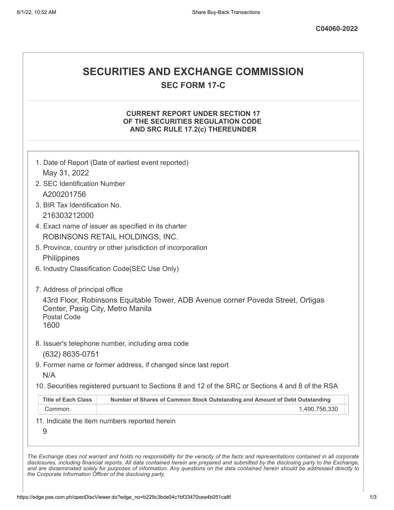# **SECURITIES AND EXCHANGE COMMISSION**

**SEC FORM 17-C**

### **CURRENT REPORT UNDER SECTION 17 OF THE SECURITIES REGULATION CODE AND SRC RULE 17.2(c) THEREUNDER**

|                                                                | 1. Date of Report (Date of earliest event reported)                                               |
|----------------------------------------------------------------|---------------------------------------------------------------------------------------------------|
| May 31, 2022                                                   |                                                                                                   |
| 2. SEC Identification Number                                   |                                                                                                   |
| A200201756                                                     |                                                                                                   |
| 3. BIR Tax Identification No.                                  |                                                                                                   |
| 216303212000                                                   |                                                                                                   |
|                                                                | 4. Exact name of issuer as specified in its charter                                               |
|                                                                | ROBINSONS RETAIL HOLDINGS, INC.                                                                   |
|                                                                | 5. Province, country or other jurisdiction of incorporation                                       |
| Philippines                                                    |                                                                                                   |
|                                                                | 6. Industry Classification Code(SEC Use Only)                                                     |
| 7. Address of principal office                                 |                                                                                                   |
| Center, Pasig City, Metro Manila<br><b>Postal Code</b><br>1600 | 43rd Floor, Robinsons Equitable Tower, ADB Avenue corner Poveda Street, Ortigas                   |
|                                                                | 8. Issuer's telephone number, including area code                                                 |
| (632) 8635-0751                                                |                                                                                                   |
| N/A                                                            | 9. Former name or former address, if changed since last report                                    |
|                                                                |                                                                                                   |
|                                                                | 10. Securities registered pursuant to Sections 8 and 12 of the SRC or Sections 4 and 8 of the RSA |
| <b>Title of Each Class</b>                                     | Number of Shares of Common Stock Outstanding and Amount of Debt Outstanding                       |
| Common                                                         | 1,490,756,330                                                                                     |
| 9                                                              | 11. Indicate the item numbers reported herein                                                     |

*the Corporate Information Officer of the disclosing party.*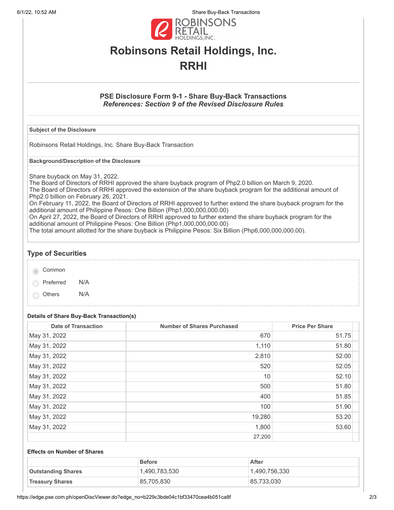6/1/22, 10:52 AM Share Buy-Back Transactions



# **Robinsons Retail Holdings, Inc. RRHI**

### **PSE Disclosure Form 9-1 - Share Buy-Back Transactions** *References: Section 9 of the Revised Disclosure Rules*

#### **Subject of the Disclosure**

Robinsons Retail Holdings, Inc. Share Buy-Back Transaction

**Background/Description of the Disclosure**

Share buyback on May 31, 2022.

The Board of Directors of RRHI approved the share buyback program of Php2.0 billion on March 9, 2020. The Board of Directors of RRHI approved the extension of the share buyback program for the additional amount of Php2.0 billion on February 26, 2021.

On February 11, 2022, the Board of Directors of RRHI approved to further extend the share buyback program for the additional amount of Philippine Pesos: One Billion (Php1,000,000,000.00)

On April 27, 2022, the Board of Directors of RRHI approved to further extend the share buyback program for the additional amount of Philippine Pesos: One Billion (Php1,000,000,000.00)

The total amount allotted for the share buyback is Philippine Pesos: Six Billion (Php6,000,000,000.00).

## **Type of Securities**

Common

Preferred N/A

Others N/A

## **Details of Share Buy-Back Transaction(s)**

| <b>Date of Transaction</b> | <b>Number of Shares Purchased</b> | <b>Price Per Share</b> |
|----------------------------|-----------------------------------|------------------------|
| May 31, 2022               | 670                               | 51.75                  |
| May 31, 2022               | 1,110                             | 51.80                  |
| May 31, 2022               | 2,810                             | 52.00                  |
| May 31, 2022               | 520                               | 52.05                  |
| May 31, 2022               | 10                                | 52.10                  |
| May 31, 2022               | 500                               | 51.80                  |
| May 31, 2022               | 400                               | 51.85                  |
| May 31, 2022               | 100                               | 51.90                  |
| May 31, 2022               | 19,280                            | 53.20                  |
| May 31, 2022               | 1,800                             | 53.60                  |
|                            | 27,200                            |                        |

#### **Effects on Number of Shares**

|                           | <b>Before</b> | After         |
|---------------------------|---------------|---------------|
| <b>Outstanding Shares</b> | 1,490,783,530 | 1.490.756.330 |
| <b>Treasury Shares</b>    | 85,705,830    | 85,733,030    |